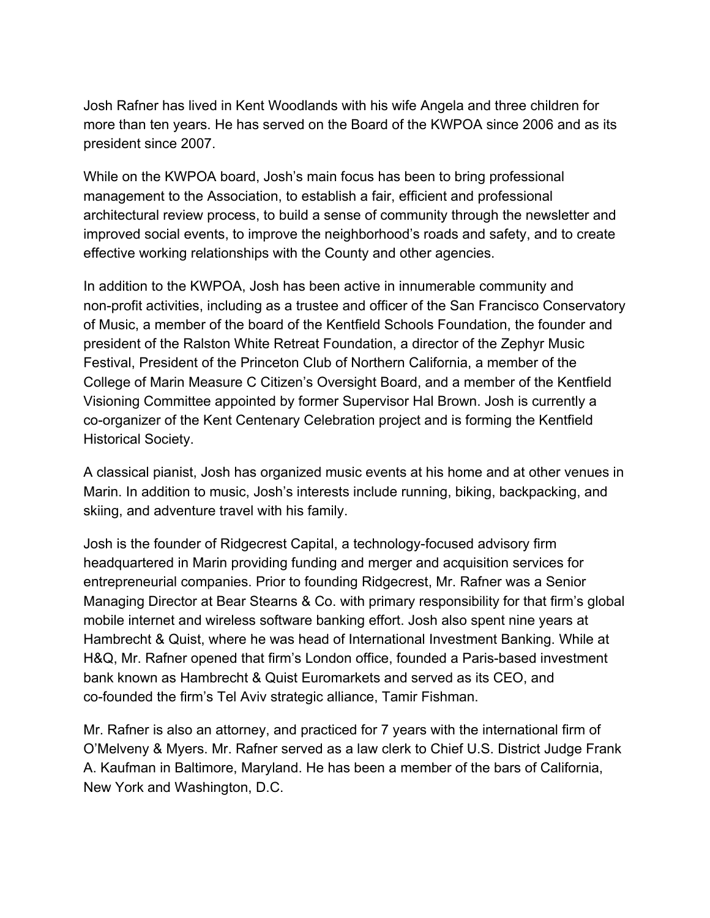Josh Rafner has lived in Kent Woodlands with his wife Angela and three children for more than ten years. He has served on the Board of the KWPOA since 2006 and as its president since 2007.

While on the KWPOA board, Josh's main focus has been to bring professional management to the Association, to establish a fair, efficient and professional architectural review process, to build a sense of community through the newsletter and improved social events, to improve the neighborhood's roads and safety, and to create effective working relationships with the County and other agencies.

In addition to the KWPOA, Josh has been active in innumerable community and non-profit activities, including as a trustee and officer of the San Francisco Conservatory of Music, a member of the board of the Kentfield Schools Foundation, the founder and president of the Ralston White Retreat Foundation, a director of the Zephyr Music Festival, President of the Princeton Club of Northern California, a member of the College of Marin Measure C Citizen's Oversight Board, and a member of the Kentfield Visioning Committee appointed by former Supervisor Hal Brown. Josh is currently a co-organizer of the Kent Centenary Celebration project and is forming the Kentfield Historical Society.

A classical pianist, Josh has organized music events at his home and at other venues in Marin. In addition to music, Josh's interests include running, biking, backpacking, and skiing, and adventure travel with his family.

Josh is the founder of Ridgecrest Capital, a technology-focused advisory firm headquartered in Marin providing funding and merger and acquisition services for entrepreneurial companies. Prior to founding Ridgecrest, Mr. Rafner was a Senior Managing Director at Bear Stearns & Co. with primary responsibility for that firm's global mobile internet and wireless software banking effort. Josh also spent nine years at Hambrecht & Quist, where he was head of International Investment Banking. While at H&Q, Mr. Rafner opened that firm's London office, founded a Paris-based investment bank known as Hambrecht & Quist Euromarkets and served as its CEO, and co-founded the firm's Tel Aviv strategic alliance, Tamir Fishman.

Mr. Rafner is also an attorney, and practiced for 7 years with the international firm of O'Melveny & Myers. Mr. Rafner served as a law clerk to Chief U.S. District Judge Frank A. Kaufman in Baltimore, Maryland. He has been a member of the bars of California, New York and Washington, D.C.